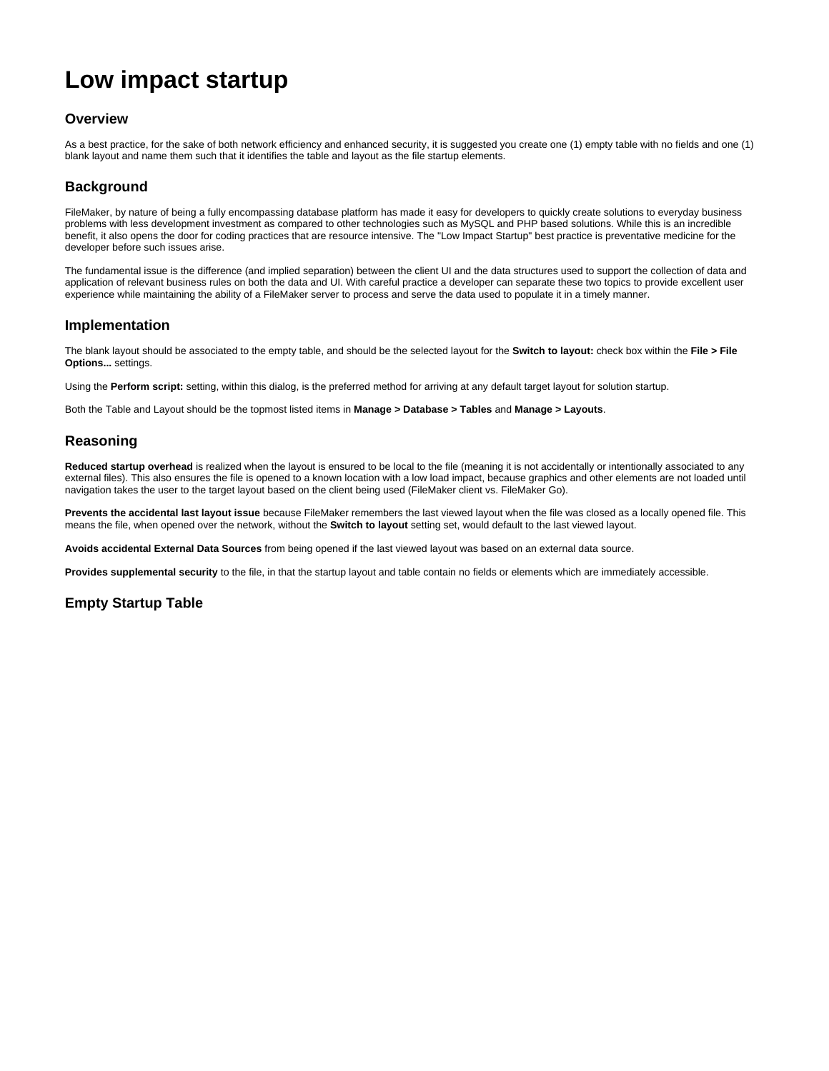# **Low impact startup**

### **Overview**

As a best practice, for the sake of both network efficiency and enhanced security, it is suggested you create one (1) empty table with no fields and one (1) blank layout and name them such that it identifies the table and layout as the file startup elements.

## **Background**

FileMaker, by nature of being a fully encompassing database platform has made it easy for developers to quickly create solutions to everyday business problems with less development investment as compared to other technologies such as MySQL and PHP based solutions. While this is an incredible benefit, it also opens the door for coding practices that are resource intensive. The "Low Impact Startup" best practice is preventative medicine for the developer before such issues arise.

The fundamental issue is the difference (and implied separation) between the client UI and the data structures used to support the collection of data and application of relevant business rules on both the data and UI. With careful practice a developer can separate these two topics to provide excellent user experience while maintaining the ability of a FileMaker server to process and serve the data used to populate it in a timely manner.

#### **Implementation**

The blank layout should be associated to the empty table, and should be the selected layout for the **Switch to layout:** check box within the **File > File Options...** settings.

Using the **Perform script:** setting, within this dialog, is the preferred method for arriving at any default target layout for solution startup.

Both the Table and Layout should be the topmost listed items in **Manage > Database > Tables** and **Manage > Layouts**.

#### **Reasoning**

Reduced startup overhead is realized when the layout is ensured to be local to the file (meaning it is not accidentally or intentionally associated to any external files). This also ensures the file is opened to a known location with a low load impact, because graphics and other elements are not loaded until navigation takes the user to the target layout based on the client being used (FileMaker client vs. FileMaker Go).

**Prevents the accidental last layout issue** because FileMaker remembers the last viewed layout when the file was closed as a locally opened file. This means the file, when opened over the network, without the **Switch to layout** setting set, would default to the last viewed layout.

**Avoids accidental External Data Sources** from being opened if the last viewed layout was based on an external data source.

**Provides supplemental security** to the file, in that the startup layout and table contain no fields or elements which are immediately accessible.

## **Empty Startup Table**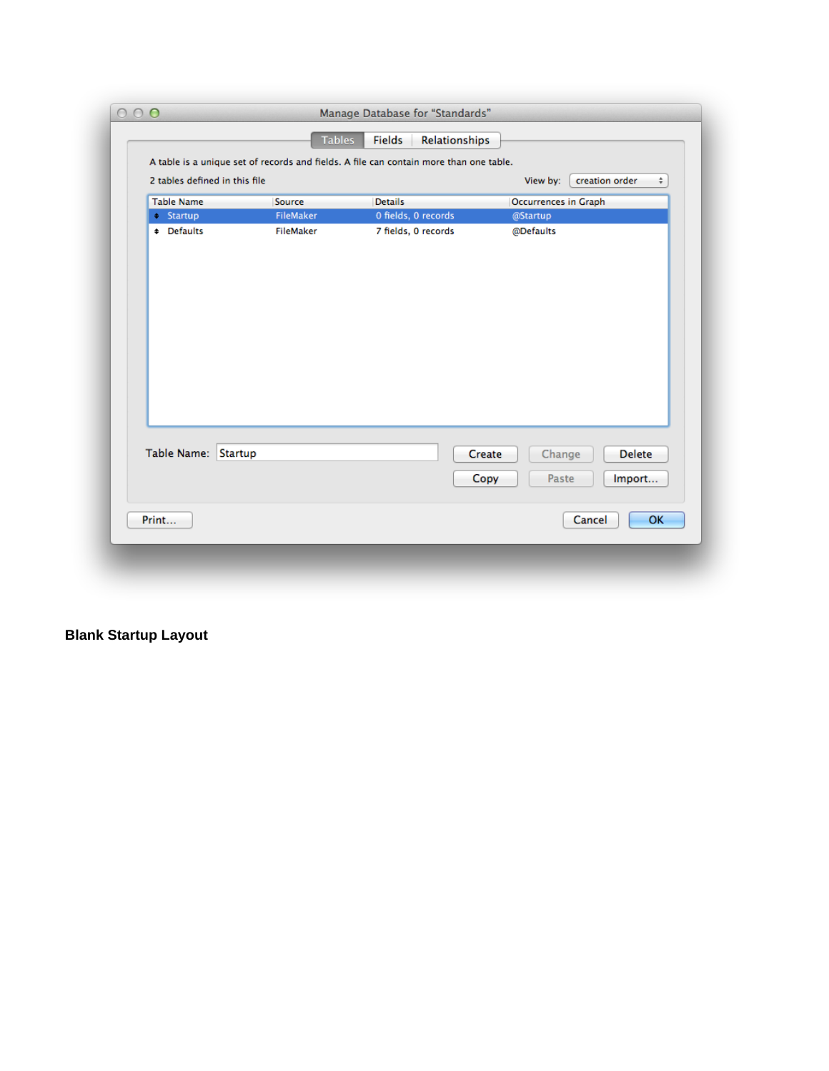|                               |                  | A table is a unique set of records and fields. A file can contain more than one table. |                             |
|-------------------------------|------------------|----------------------------------------------------------------------------------------|-----------------------------|
| 2 tables defined in this file |                  |                                                                                        | creation order<br>View by:  |
| <b>Table Name</b>             | Source           | <b>Details</b>                                                                         | <b>Occurrences in Graph</b> |
| $\div$ Startup                | <b>FileMaker</b> | 0 fields, 0 records                                                                    | @Startup                    |
| # Defaults                    | <b>FileMaker</b> | 7 fields, 0 records                                                                    | @Defaults                   |
|                               |                  |                                                                                        |                             |
|                               |                  |                                                                                        |                             |
|                               |                  |                                                                                        |                             |
|                               |                  |                                                                                        |                             |
|                               |                  |                                                                                        |                             |
|                               |                  |                                                                                        |                             |
|                               |                  |                                                                                        |                             |
|                               |                  |                                                                                        |                             |
|                               |                  |                                                                                        |                             |
|                               |                  |                                                                                        |                             |
|                               |                  |                                                                                        |                             |
|                               |                  |                                                                                        |                             |
|                               |                  |                                                                                        |                             |
| Table Name: Startup           |                  |                                                                                        | Delete                      |
|                               |                  |                                                                                        | Create<br>Change            |
|                               |                  |                                                                                        | Paste<br>Copy<br>Import     |
|                               |                  |                                                                                        |                             |

# **Blank Startup Layout**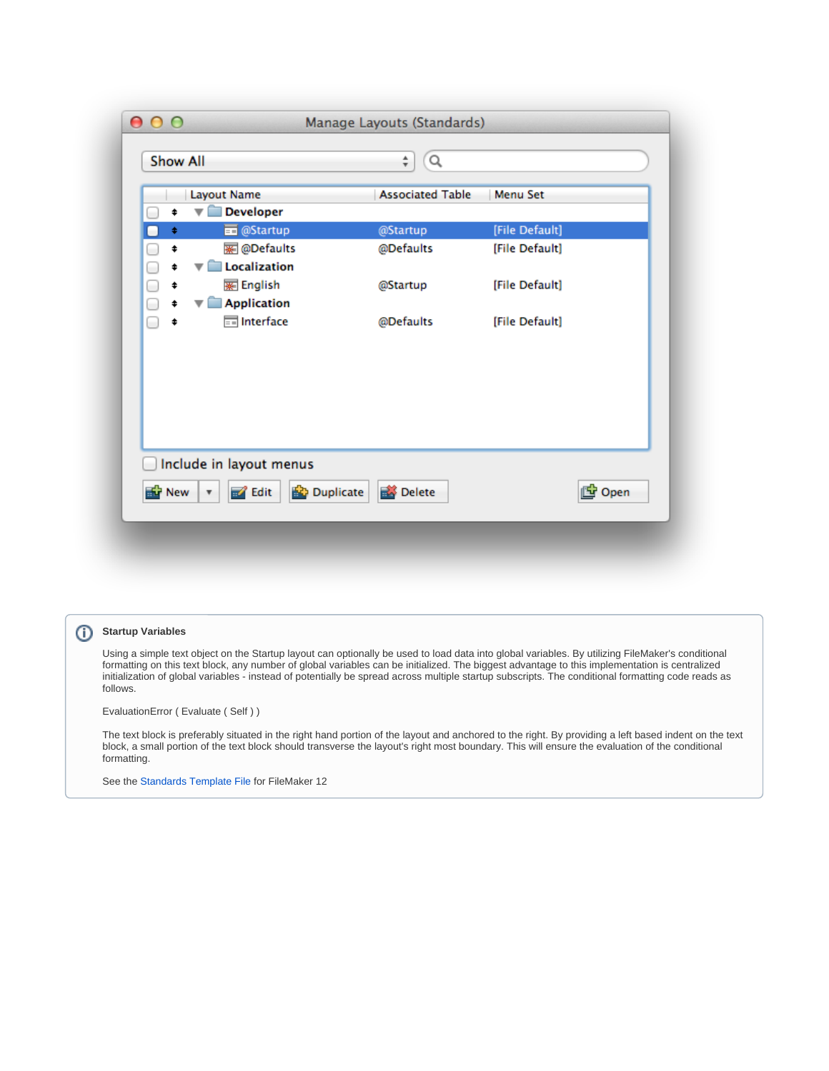| <b>Show All</b>                                                                                  | Q<br>÷                  |                |       |
|--------------------------------------------------------------------------------------------------|-------------------------|----------------|-------|
| Layout Name                                                                                      | <b>Associated Table</b> | Menu Set       |       |
| <b>Developer</b><br>▼<br>¢                                                                       |                         |                |       |
| <b>ED</b> @Startup<br>$\ddot{}$<br>۰                                                             | @Startup                | [File Default] |       |
| <b>※ @Defaults</b><br>\$<br>□                                                                    | @Defaults               | [File Default] |       |
| Localization<br>$\overline{\phantom{a}}$<br>\$                                                   |                         |                |       |
| <b>WE</b> English<br>\$                                                                          | @Startup                | [File Default] |       |
| <b>Application</b><br>‡<br>▼                                                                     |                         |                |       |
| Interface<br>\$                                                                                  | @Defaults               | [File Default] |       |
|                                                                                                  |                         |                |       |
| Include in layout menus                                                                          |                         |                |       |
| <b>Duplicate</b><br><b>E</b> r <sup>1</sup> New<br>$\mathscr{A}$ Edit<br>$\overline{\mathbf{v}}$ | Delete                  |                | lopen |

# **Startup Variables**

Using a simple text object on the Startup layout can optionally be used to load data into global variables. By utilizing FileMaker's conditional formatting on this text block, any number of global variables can be initialized. The biggest advantage to this implementation is centralized initialization of global variables - instead of potentially be spread across multiple startup subscripts. The conditional formatting code reads as follows.

EvaluationError ( Evaluate ( Self ) )

The text block is preferably situated in the right hand portion of the layout and anchored to the right. By providing a left based indent on the text block, a small portion of the text block should transverse the layout's right most boundary. This will ensure the evaluation of the conditional formatting.

See the [Standards Template File](https://filemakerstandards.org/display/bp/Standards+Template+File) for FileMaker 12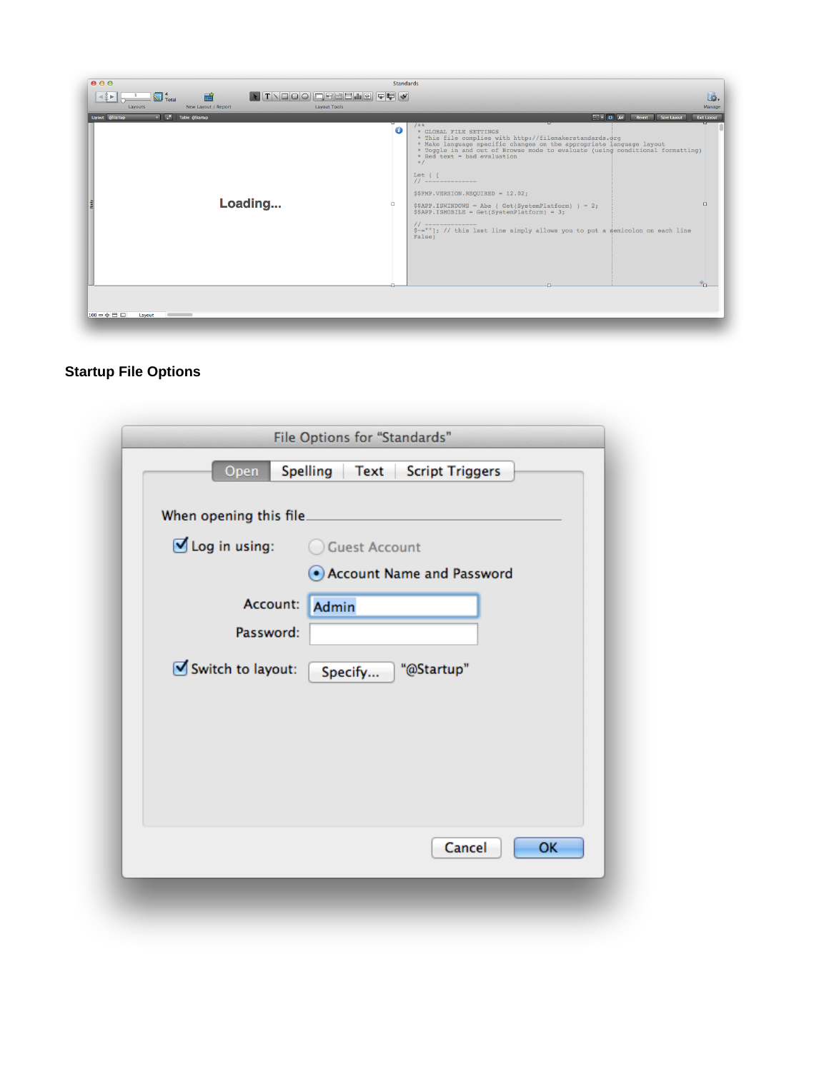| 000                                                                                          |                | <b>Standards</b>                                                                                                                                                                                                                                                                                                                                                                                                                                                                                                                                                                                         |
|----------------------------------------------------------------------------------------------|----------------|----------------------------------------------------------------------------------------------------------------------------------------------------------------------------------------------------------------------------------------------------------------------------------------------------------------------------------------------------------------------------------------------------------------------------------------------------------------------------------------------------------------------------------------------------------------------------------------------------------|
| <b>ATVOOOOGBBBB@QQ</b><br>論<br>$\overline{\bigotimes}$ $^{4}_{\text{Total}}$                 |                | 园.                                                                                                                                                                                                                                                                                                                                                                                                                                                                                                                                                                                                       |
| <b>Layout Tools</b><br>New Layout / Report<br>Layouts<br>Table: @Startup<br>Layout: @Startup |                | Manage<br>$\Box$ $\Box$ $\Theta$ $\Box$ $A$ a $\Box$<br>Revert Save Layout<br><b>Exit Layout</b>                                                                                                                                                                                                                                                                                                                                                                                                                                                                                                         |
| Loading                                                                                      | $\bullet$<br>п | $1**$<br>* GLOBAL FILE SETTINGS<br>* This file complies with http://filemakerstandards.grg<br>* Make language specific changes on the appropriate language layout * Toggle in and out of Browse mode to evaluate (using conditional formatting)<br>$*$ Red text = bad evaluation<br>$\star$ /<br>Let ( [<br>$11$ ---------------<br>\$\$FMP.VERSION.REQUIRED = 12.02;<br>$\Box$<br>$$SAPP. ISWINDOWS = Abs (Get(SystemPlatform)) = 2;$<br>$$SAPP. ISMOBILE = Get(SystemPlatform) = 3;$<br>$11$ ---------------<br>\$-=""]; // this last line simply allows you to put a semicolon on each line<br>False) |
|                                                                                              |                |                                                                                                                                                                                                                                                                                                                                                                                                                                                                                                                                                                                                          |
| $100 - 0 = 0$<br>Layout                                                                      |                |                                                                                                                                                                                                                                                                                                                                                                                                                                                                                                                                                                                                          |
|                                                                                              |                |                                                                                                                                                                                                                                                                                                                                                                                                                                                                                                                                                                                                          |

# **Startup File Options**

| Open                         | Spelling<br><b>Script Triggers</b><br>Text |
|------------------------------|--------------------------------------------|
| When opening this file.      |                                            |
| $\blacksquare$ Log in using: | ◯ Guest Account                            |
|                              | • Account Name and Password                |
| Account:                     | Admin                                      |
| Password:                    |                                            |
| Switch to layout:            | "@Startup"<br>Specify                      |
|                              |                                            |
|                              |                                            |
|                              |                                            |
|                              |                                            |
|                              |                                            |
|                              | <b>OK</b><br>Cancel                        |
|                              |                                            |